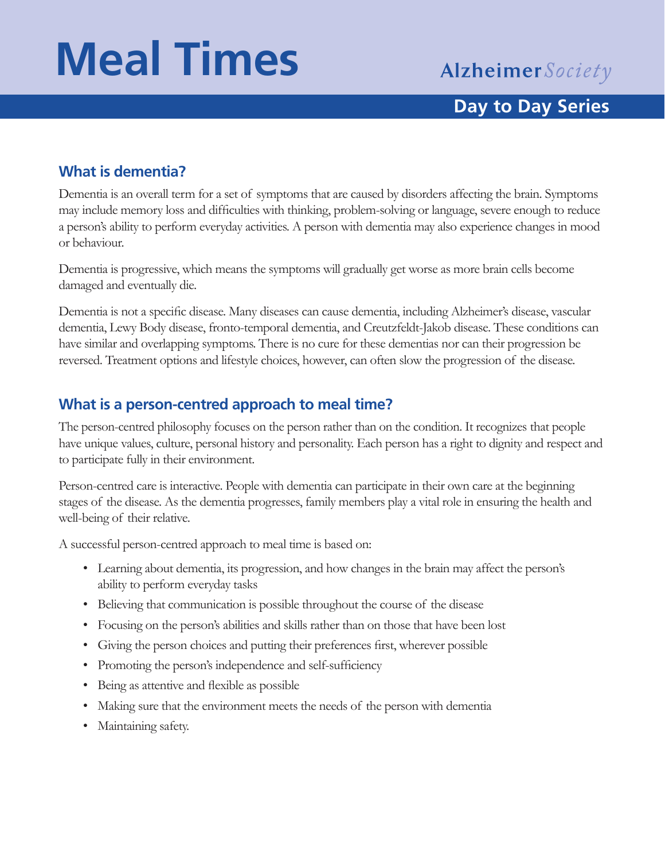# **Meal Times**

### **Day to Day Series**

### **What is dementia?**

Dementia is an overall term for a set of symptoms that are caused by disorders affecting the brain. Symptoms may include memory loss and difficulties with thinking, problem-solving or language, severe enough to reduce a person's ability to perform everyday activities. A person with dementia may also experience changes in mood or behaviour.

Dementia is progressive, which means the symptoms will gradually get worse as more brain cells become damaged and eventually die.

Dementia is not a specific disease. Many diseases can cause dementia, including Alzheimer's disease, vascular dementia, Lewy Body disease, fronto-temporal dementia, and Creutzfeldt-Jakob disease. These conditions can have similar and overlapping symptoms. There is no cure for these dementias nor can their progression be reversed. Treatment options and lifestyle choices, however, can often slow the progression of the disease.

### **What is a person-centred approach to meal time?**

The person-centred philosophy focuses on the person rather than on the condition. It recognizes that people have unique values, culture, personal history and personality. Each person has a right to dignity and respect and to participate fully in their environment.

Person-centred care is interactive. People with dementia can participate in their own care at the beginning stages of the disease. As the dementia progresses, family members play a vital role in ensuring the health and well-being of their relative.

A successful person-centred approach to meal time is based on:

- Learning about dementia, its progression, and how changes in the brain may affect the person's ability to perform everyday tasks
- Believing that communication is possible throughout the course of the disease
- Focusing on the person's abilities and skills rather than on those that have been lost
- Giving the person choices and putting their preferences first, wherever possible
- Promoting the person's independence and self-sufficiency
- Being as attentive and flexible as possible
- Making sure that the environment meets the needs of the person with dementia
- Maintaining safety.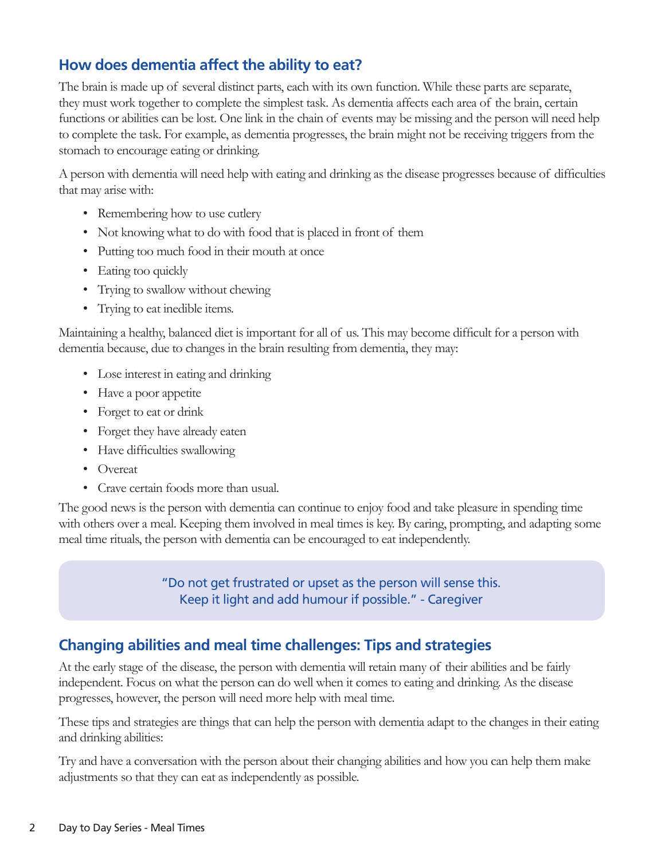### **How does dementia affect the ability to eat?**

The brain is made up of several distinct parts, each with its own function. While these parts are separate, they must work together to complete the simplest task. As dementia affects each area of the brain, certain functions or abilities can be lost. One link in the chain of events may be missing and the person will need help to complete the task. For example, as dementia progresses, the brain might not be receiving triggers from the stomach to encourage eating or drinking.

A person with dementia will need help with eating and drinking as the disease progresses because of difficulties that may arise with:

- Remembering how to use cutlery
- Not knowing what to do with food that is placed in front of them
- Putting too much food in their mouth at once
- Eating too quickly
- Trying to swallow without chewing
- Trying to eat inedible items.

Maintaining a healthy, balanced diet is important for all of us. This may become difficult for a person with dementia because, due to changes in the brain resulting from dementia, they may:

- Lose interest in eating and drinking
- Have a poor appetite
- Forget to eat or drink
- Forget they have already eaten
- Have difficulties swallowing
- Overeat
- Crave certain foods more than usual.

The good news is the person with dementia can continue to enjoy food and take pleasure in spending time with others over a meal. Keeping them involved in meal times is key. By caring, prompting, and adapting some meal time rituals, the person with dementia can be encouraged to eat independently.

> "Do not get frustrated or upset as the person will sense this. Keep it light and add humour if possible." - Caregiver

### **Changing abilities and meal time challenges: Tips and strategies**

At the early stage of the disease, the person with dementia will retain many of their abilities and be fairly independent. Focus on what the person can do well when it comes to eating and drinking. As the disease progresses, however, the person will need more help with meal time.

These tips and strategies are things that can help the person with dementia adapt to the changes in their eating and drinking abilities:

Try and have a conversation with the person about their changing abilities and how you can help them make adjustments so that they can eat as independently as possible.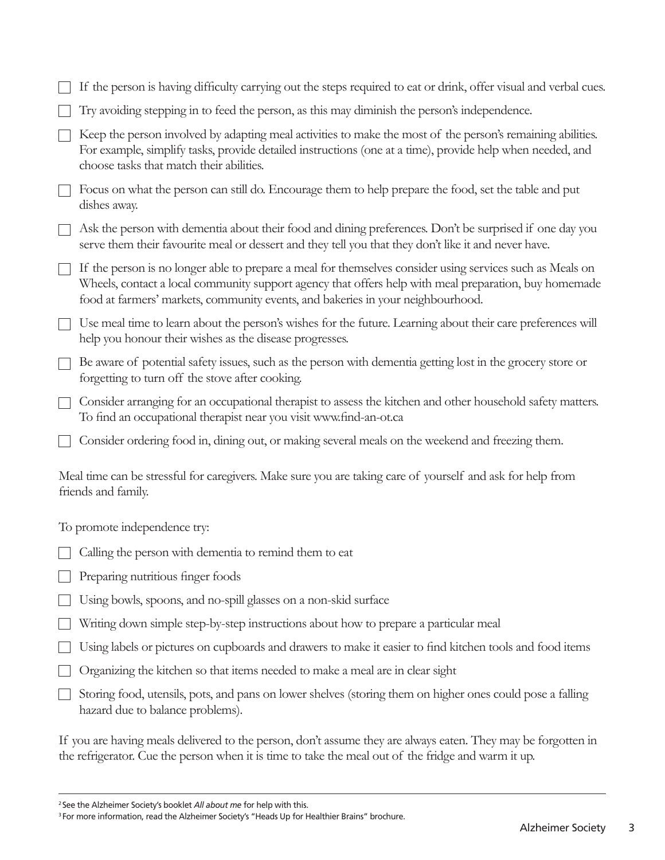|                                                                                                                                   | If the person is having difficulty carrying out the steps required to eat or drink, offer visual and verbal cues.                                                                                                                                                                                     |  |
|-----------------------------------------------------------------------------------------------------------------------------------|-------------------------------------------------------------------------------------------------------------------------------------------------------------------------------------------------------------------------------------------------------------------------------------------------------|--|
|                                                                                                                                   | Try avoiding stepping in to feed the person, as this may diminish the person's independence.                                                                                                                                                                                                          |  |
|                                                                                                                                   | Keep the person involved by adapting meal activities to make the most of the person's remaining abilities.<br>For example, simplify tasks, provide detailed instructions (one at a time), provide help when needed, and<br>choose tasks that match their abilities.                                   |  |
|                                                                                                                                   | Focus on what the person can still do. Encourage them to help prepare the food, set the table and put<br>dishes away.                                                                                                                                                                                 |  |
|                                                                                                                                   | Ask the person with dementia about their food and dining preferences. Don't be surprised if one day you<br>serve them their favourite meal or dessert and they tell you that they don't like it and never have.                                                                                       |  |
|                                                                                                                                   | If the person is no longer able to prepare a meal for themselves consider using services such as Meals on<br>Wheels, contact a local community support agency that offers help with meal preparation, buy homemade<br>food at farmers' markets, community events, and bakeries in your neighbourhood. |  |
|                                                                                                                                   | Use meal time to learn about the person's wishes for the future. Learning about their care preferences will<br>help you honour their wishes as the disease progresses.                                                                                                                                |  |
|                                                                                                                                   | Be aware of potential safety issues, such as the person with dementia getting lost in the grocery store or<br>forgetting to turn off the stove after cooking.                                                                                                                                         |  |
|                                                                                                                                   | Consider arranging for an occupational therapist to assess the kitchen and other household safety matters.<br>To find an occupational therapist near you visit www.find-an-ot.ca                                                                                                                      |  |
|                                                                                                                                   | Consider ordering food in, dining out, or making several meals on the weekend and freezing them.                                                                                                                                                                                                      |  |
| Meal time can be stressful for caregivers. Make sure you are taking care of yourself and ask for help from<br>friends and family. |                                                                                                                                                                                                                                                                                                       |  |
|                                                                                                                                   | To promote independence try:                                                                                                                                                                                                                                                                          |  |
|                                                                                                                                   | Calling the person with dementia to remind them to eat                                                                                                                                                                                                                                                |  |
|                                                                                                                                   | Preparing nutritious finger foods                                                                                                                                                                                                                                                                     |  |
|                                                                                                                                   | Using bowls, spoons, and no-spill glasses on a non-skid surface                                                                                                                                                                                                                                       |  |
|                                                                                                                                   | Writing down simple step-by-step instructions about how to prepare a particular meal                                                                                                                                                                                                                  |  |
|                                                                                                                                   | Using labels or pictures on cupboards and drawers to make it easier to find kitchen tools and food items                                                                                                                                                                                              |  |
|                                                                                                                                   | Organizing the kitchen so that items needed to make a meal are in clear sight                                                                                                                                                                                                                         |  |
|                                                                                                                                   | Storing food, utensils, pots, and pans on lower shelves (storing them on higher ones could pose a falling<br>hazard due to balance problems).                                                                                                                                                         |  |
|                                                                                                                                   |                                                                                                                                                                                                                                                                                                       |  |

If you are having meals delivered to the person, don't assume they are always eaten. They may be forgotten in the refrigerator. Cue the person when it is time to take the meal out of the fridge and warm it up.

<sup>&</sup>lt;sup>2</sup> See the Alzheimer Society's booklet *All about me* for help with this.<br><sup>3</sup> For more information, read the Alzheimer Society's "Heads Up for Healthier Brains" brochure.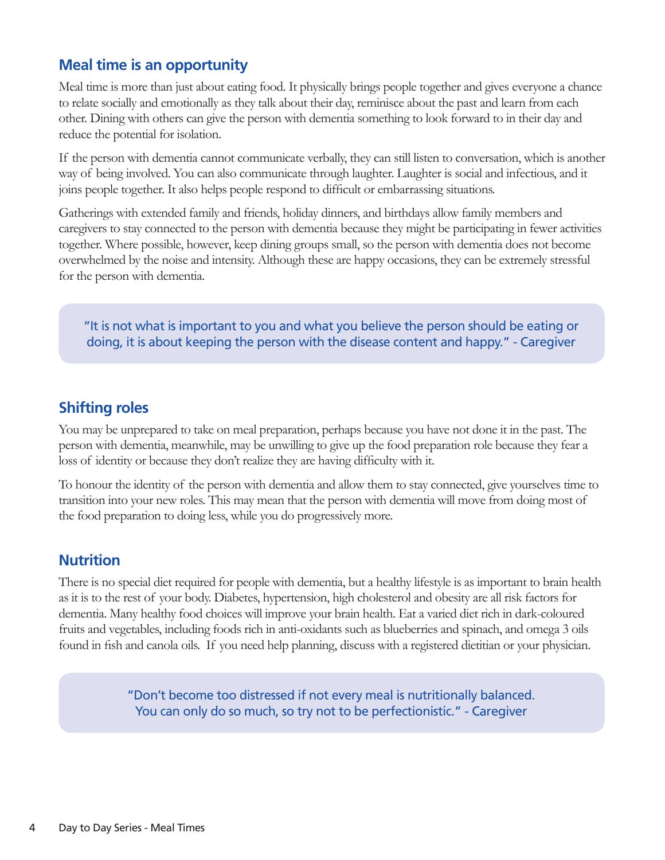### **Meal time is an opportunity**

Meal time is more than just about eating food. It physically brings people together and gives everyone a chance to relate socially and emotionally as they talk about their day, reminisce about the past and learn from each other. Dining with others can give the person with dementia something to look forward to in their day and reduce the potential for isolation.

If the person with dementia cannot communicate verbally, they can still listen to conversation, which is another way of being involved. You can also communicate through laughter. Laughter is social and infectious, and it joins people together. It also helps people respond to difficult or embarrassing situations.

Gatherings with extended family and friends, holiday dinners, and birthdays allow family members and caregivers to stay connected to the person with dementia because they might be participating in fewer activities together. Where possible, however, keep dining groups small, so the person with dementia does not become overwhelmed by the noise and intensity. Although these are happy occasions, they can be extremely stressful for the person with dementia.

"It is not what is important to you and what you believe the person should be eating or doing, it is about keeping the person with the disease content and happy." - Caregiver

### **Shifting roles**

You may be unprepared to take on meal preparation, perhaps because you have not done it in the past. The person with dementia, meanwhile, may be unwilling to give up the food preparation role because they fear a loss of identity or because they don't realize they are having difficulty with it.

To honour the identity of the person with dementia and allow them to stay connected, give yourselves time to transition into your new roles. This may mean that the person with dementia will move from doing most of the food preparation to doing less, while you do progressively more.

### **Nutrition**

There is no special diet required for people with dementia, but a healthy lifestyle is as important to brain health as it is to the rest of your body. Diabetes, hypertension, high cholesterol and obesity are all risk factors for dementia. Many healthy food choices will improve your brain health. Eat a varied diet rich in dark-coloured fruits and vegetables, including foods rich in anti-oxidants such as blueberries and spinach, and omega 3 oils found in fish and canola oils. If you need help planning, discuss with a registered dietitian or your physician.

> "Don't become too distressed if not every meal is nutritionally balanced. You can only do so much, so try not to be perfectionistic." - Caregiver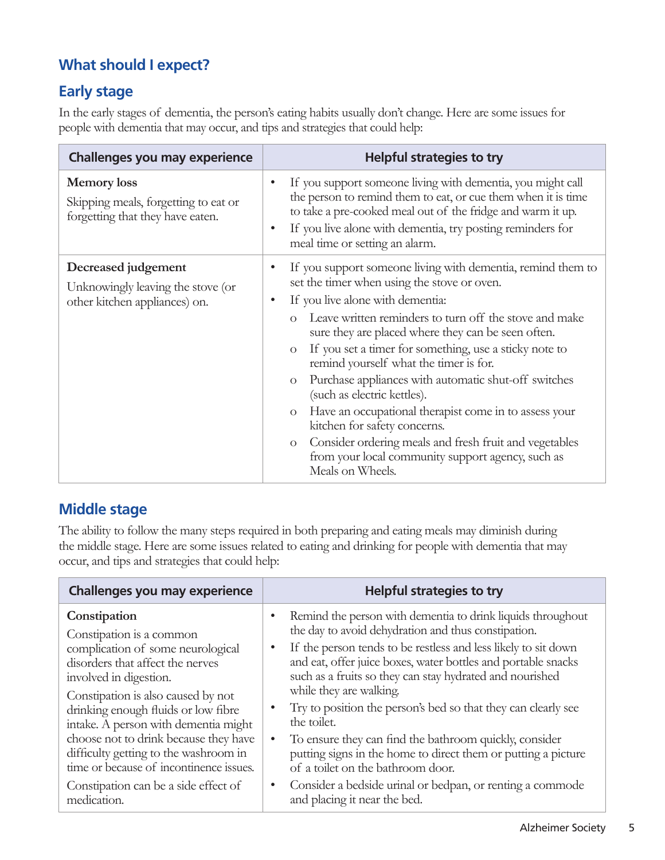### **What should I expect?**

### **Early stage**

In the early stages of dementia, the person's eating habits usually don't change. Here are some issues for people with dementia that may occur, and tips and strategies that could help:

| <b>Challenges you may experience</b>                                                           | <b>Helpful strategies to try</b>                                                                                                                                                                                                                                                                                                                                                                                                                                                                                                                                                                                                                                                                                                                                              |
|------------------------------------------------------------------------------------------------|-------------------------------------------------------------------------------------------------------------------------------------------------------------------------------------------------------------------------------------------------------------------------------------------------------------------------------------------------------------------------------------------------------------------------------------------------------------------------------------------------------------------------------------------------------------------------------------------------------------------------------------------------------------------------------------------------------------------------------------------------------------------------------|
| <b>Memory</b> loss<br>Skipping meals, forgetting to eat or<br>forgetting that they have eaten. | If you support someone living with dementia, you might call<br>the person to remind them to eat, or cue them when it is time<br>to take a pre-cooked meal out of the fridge and warm it up.<br>If you live alone with dementia, try posting reminders for<br>$\bullet$<br>meal time or setting an alarm.                                                                                                                                                                                                                                                                                                                                                                                                                                                                      |
| Decreased judgement<br>Unknowingly leaving the stove (or<br>other kitchen appliances) on.      | If you support someone living with dementia, remind them to<br>set the timer when using the stove or oven.<br>If you live alone with dementia:<br>$\bullet$<br>Leave written reminders to turn off the stove and make<br>$\Omega$<br>sure they are placed where they can be seen often.<br>If you set a timer for something, use a sticky note to<br>$\mathcal{O}$<br>remind yourself what the timer is for.<br>Purchase appliances with automatic shut-off switches<br>$\mathcal{O}$<br>(such as electric kettles).<br>Have an occupational therapist come in to assess your<br>$\mathcal{O}$<br>kitchen for safety concerns.<br>Consider ordering meals and fresh fruit and vegetables<br>$\Omega$<br>from your local community support agency, such as<br>Meals on Wheels. |

### **Middle stage**

The ability to follow the many steps required in both preparing and eating meals may diminish during the middle stage. Here are some issues related to eating and drinking for people with dementia that may occur, and tips and strategies that could help:

| <b>Challenges you may experience</b>                                                                                                                                                                                                                                                                                                                                                                                                                 | <b>Helpful strategies to try</b>                                                                                                                                                                                                                                                                                                                                                                                                                                                                                                                                                                                                                                                                       |
|------------------------------------------------------------------------------------------------------------------------------------------------------------------------------------------------------------------------------------------------------------------------------------------------------------------------------------------------------------------------------------------------------------------------------------------------------|--------------------------------------------------------------------------------------------------------------------------------------------------------------------------------------------------------------------------------------------------------------------------------------------------------------------------------------------------------------------------------------------------------------------------------------------------------------------------------------------------------------------------------------------------------------------------------------------------------------------------------------------------------------------------------------------------------|
| Constipation<br>Constipation is a common<br>complication of some neurological<br>disorders that affect the nerves<br>involved in digestion.<br>Constipation is also caused by not<br>drinking enough fluids or low fibre<br>intake. A person with dementia might<br>choose not to drink because they have<br>difficulty getting to the washroom in<br>time or because of incontinence issues.<br>Constipation can be a side effect of<br>medication. | Remind the person with dementia to drink liquids throughout<br>the day to avoid dehydration and thus constipation.<br>If the person tends to be restless and less likely to sit down<br>and eat, offer juice boxes, water bottles and portable snacks<br>such as a fruits so they can stay hydrated and nourished<br>while they are walking.<br>Try to position the person's bed so that they can clearly see<br>the toilet.<br>To ensure they can find the bathroom quickly, consider<br>putting signs in the home to direct them or putting a picture<br>of a toilet on the bathroom door.<br>Consider a bedside urinal or bedpan, or renting a commode<br>$\bullet$<br>and placing it near the bed. |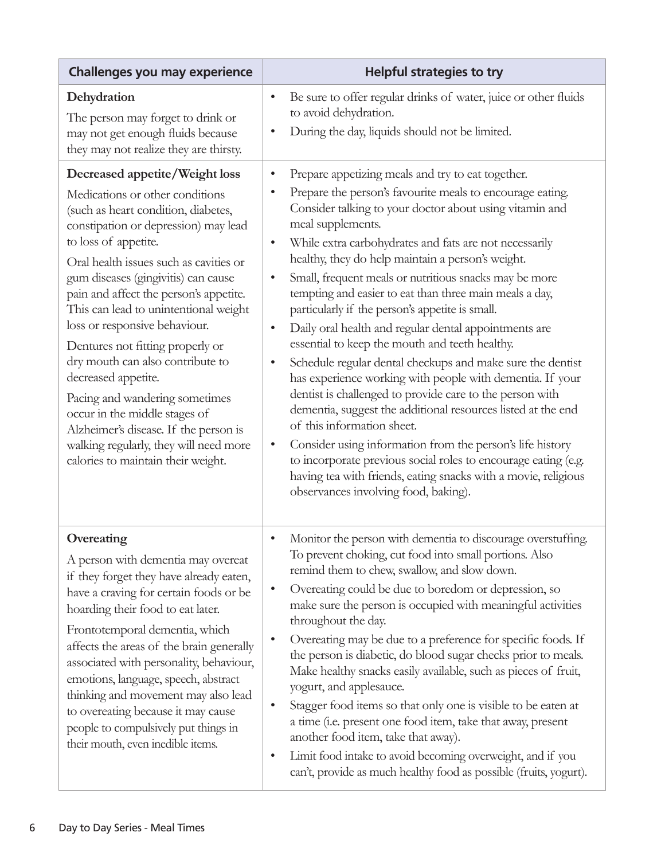| <b>Challenges you may experience</b>                                                                                                                                                                                                                                                                                                                                                                                                                                                                                                                                                                                                                                     | <b>Helpful strategies to try</b>                                                                                                                                                                                                                                                                                                                                                                                                                                                                                                                                                                                                                                                                                                                                                                                                                                                                                                                                                                                                                                                                                                                                                                                          |
|--------------------------------------------------------------------------------------------------------------------------------------------------------------------------------------------------------------------------------------------------------------------------------------------------------------------------------------------------------------------------------------------------------------------------------------------------------------------------------------------------------------------------------------------------------------------------------------------------------------------------------------------------------------------------|---------------------------------------------------------------------------------------------------------------------------------------------------------------------------------------------------------------------------------------------------------------------------------------------------------------------------------------------------------------------------------------------------------------------------------------------------------------------------------------------------------------------------------------------------------------------------------------------------------------------------------------------------------------------------------------------------------------------------------------------------------------------------------------------------------------------------------------------------------------------------------------------------------------------------------------------------------------------------------------------------------------------------------------------------------------------------------------------------------------------------------------------------------------------------------------------------------------------------|
| Dehydration<br>The person may forget to drink or<br>may not get enough fluids because<br>they may not realize they are thirsty.                                                                                                                                                                                                                                                                                                                                                                                                                                                                                                                                          | Be sure to offer regular drinks of water, juice or other fluids<br>$\bullet$<br>to avoid dehydration.<br>During the day, liquids should not be limited.<br>$\bullet$                                                                                                                                                                                                                                                                                                                                                                                                                                                                                                                                                                                                                                                                                                                                                                                                                                                                                                                                                                                                                                                      |
| Decreased appetite/Weight loss<br>Medications or other conditions<br>(such as heart condition, diabetes,<br>constipation or depression) may lead<br>to loss of appetite.<br>Oral health issues such as cavities or<br>gum diseases (gingivitis) can cause<br>pain and affect the person's appetite.<br>This can lead to unintentional weight<br>loss or responsive behaviour.<br>Dentures not fitting properly or<br>dry mouth can also contribute to<br>decreased appetite.<br>Pacing and wandering sometimes<br>occur in the middle stages of<br>Alzheimer's disease. If the person is<br>walking regularly, they will need more<br>calories to maintain their weight. | Prepare appetizing meals and try to eat together.<br>$\bullet$<br>Prepare the person's favourite meals to encourage eating.<br>$\bullet$<br>Consider talking to your doctor about using vitamin and<br>meal supplements.<br>While extra carbohydrates and fats are not necessarily<br>$\bullet$<br>healthy, they do help maintain a person's weight.<br>Small, frequent meals or nutritious snacks may be more<br>$\bullet$<br>tempting and easier to eat than three main meals a day,<br>particularly if the person's appetite is small.<br>Daily oral health and regular dental appointments are<br>$\bullet$<br>essential to keep the mouth and teeth healthy.<br>Schedule regular dental checkups and make sure the dentist<br>$\bullet$<br>has experience working with people with dementia. If your<br>dentist is challenged to provide care to the person with<br>dementia, suggest the additional resources listed at the end<br>of this information sheet.<br>Consider using information from the person's life history<br>$\bullet$<br>to incorporate previous social roles to encourage eating (e.g.<br>having tea with friends, eating snacks with a movie, religious<br>observances involving food, baking). |
| Overeating<br>A person with dementia may overeat<br>if they forget they have already eaten,<br>have a craving for certain foods or be<br>hoarding their food to eat later.<br>Frontotemporal dementia, which<br>affects the areas of the brain generally<br>associated with personality, behaviour,<br>emotions, language, speech, abstract<br>thinking and movement may also lead<br>to overeating because it may cause<br>people to compulsively put things in<br>their mouth, even inedible items.                                                                                                                                                                    | Monitor the person with dementia to discourage overstuffing.<br>$\bullet$<br>To prevent choking, cut food into small portions. Also<br>remind them to chew, swallow, and slow down.<br>Overeating could be due to boredom or depression, so<br>$\bullet$<br>make sure the person is occupied with meaningful activities<br>throughout the day.<br>Overeating may be due to a preference for specific foods. If<br>$\bullet$<br>the person is diabetic, do blood sugar checks prior to meals.<br>Make healthy snacks easily available, such as pieces of fruit,<br>yogurt, and applesauce.<br>Stagger food items so that only one is visible to be eaten at<br>$\bullet$<br>a time (i.e. present one food item, take that away, present<br>another food item, take that away).<br>Limit food intake to avoid becoming overweight, and if you<br>$\bullet$<br>can't, provide as much healthy food as possible (fruits, yogurt).                                                                                                                                                                                                                                                                                             |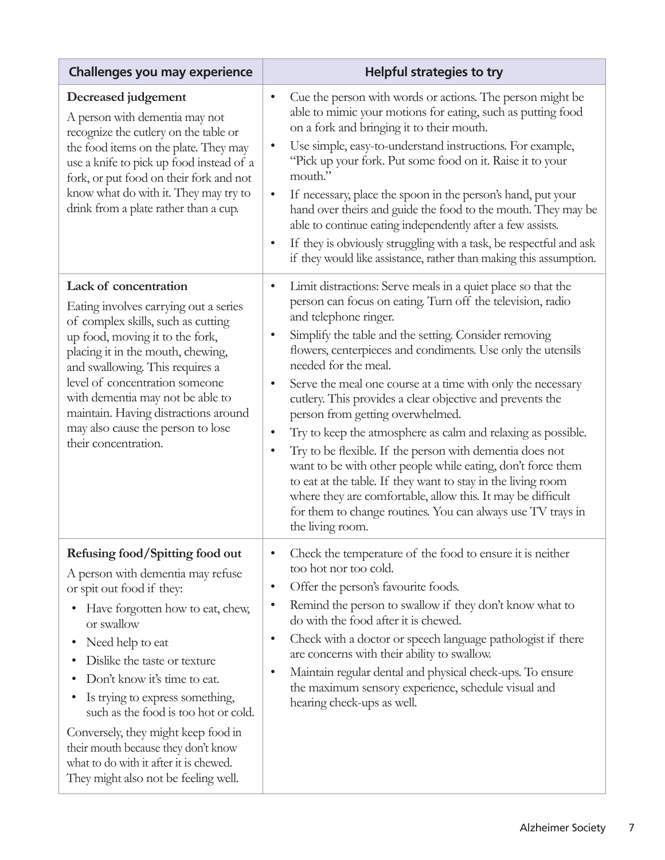| <b>Challenges you may experience</b>                                                                                                                                                                                                                                                                                                                                                                                                                                                    | <b>Helpful strategies to try</b>                                                                                                                                                                                                                                                                                                                                                                                                                                                                                                                                                                                                                                                                                                                                                                                                                                                                                                                  |
|-----------------------------------------------------------------------------------------------------------------------------------------------------------------------------------------------------------------------------------------------------------------------------------------------------------------------------------------------------------------------------------------------------------------------------------------------------------------------------------------|---------------------------------------------------------------------------------------------------------------------------------------------------------------------------------------------------------------------------------------------------------------------------------------------------------------------------------------------------------------------------------------------------------------------------------------------------------------------------------------------------------------------------------------------------------------------------------------------------------------------------------------------------------------------------------------------------------------------------------------------------------------------------------------------------------------------------------------------------------------------------------------------------------------------------------------------------|
| Decreased judgement<br>A person with dementia may not<br>recognize the cutlery on the table or<br>the food items on the plate. They may<br>use a knife to pick up food instead of a<br>fork, or put food on their fork and not<br>know what do with it. They may try to<br>drink from a plate rather than a cup.                                                                                                                                                                        | Cue the person with words or actions. The person might be<br>$\bullet$<br>able to mimic your motions for eating, such as putting food<br>on a fork and bringing it to their mouth.<br>Use simple, easy-to-understand instructions. For example,<br>$\bullet$<br>"Pick up your fork. Put some food on it. Raise it to your<br>mouth."<br>If necessary, place the spoon in the person's hand, put your<br>$\bullet$<br>hand over theirs and guide the food to the mouth. They may be<br>able to continue eating independently after a few assists.<br>If they is obviously struggling with a task, be respectful and ask<br>$\bullet$<br>if they would like assistance, rather than making this assumption.                                                                                                                                                                                                                                         |
| Lack of concentration<br>Eating involves carrying out a series<br>of complex skills, such as cutting<br>up food, moving it to the fork,<br>placing it in the mouth, chewing,<br>and swallowing. This requires a<br>level of concentration someone<br>with dementia may not be able to<br>maintain. Having distractions around<br>may also cause the person to lose<br>their concentration.                                                                                              | Limit distractions: Serve meals in a quiet place so that the<br>$\bullet$<br>person can focus on eating. Turn off the television, radio<br>and telephone ringer.<br>Simplify the table and the setting. Consider removing<br>$\bullet$<br>flowers, centerpieces and condiments. Use only the utensils<br>needed for the meal.<br>Serve the meal one course at a time with only the necessary<br>$\bullet$<br>cutlery. This provides a clear objective and prevents the<br>person from getting overwhelmed.<br>Try to keep the atmosphere as calm and relaxing as possible.<br>$\bullet$<br>Try to be flexible. If the person with dementia does not<br>$\bullet$<br>want to be with other people while eating, don't force them<br>to eat at the table. If they want to stay in the living room<br>where they are comfortable, allow this. It may be difficult<br>for them to change routines. You can always use TV trays in<br>the living room. |
| Refusing food/Spitting food out<br>A person with dementia may refuse<br>or spit out food if they:<br>Have forgotten how to eat, chew,<br>or swallow<br>Need help to eat<br>٠<br>Dislike the taste or texture<br>Don't know it's time to eat.<br>Is trying to express something,<br>such as the food is too hot or cold.<br>Conversely, they might keep food in<br>their mouth because they don't know<br>what to do with it after it is chewed.<br>They might also not be feeling well. | Check the temperature of the food to ensure it is neither<br>$\bullet$<br>too hot nor too cold.<br>Offer the person's favourite foods.<br>$\bullet$<br>Remind the person to swallow if they don't know what to<br>$\bullet$<br>do with the food after it is chewed.<br>Check with a doctor or speech language pathologist if there<br>$\bullet$<br>are concerns with their ability to swallow.<br>Maintain regular dental and physical check-ups. To ensure<br>$\bullet$<br>the maximum sensory experience, schedule visual and<br>hearing check-ups as well.                                                                                                                                                                                                                                                                                                                                                                                     |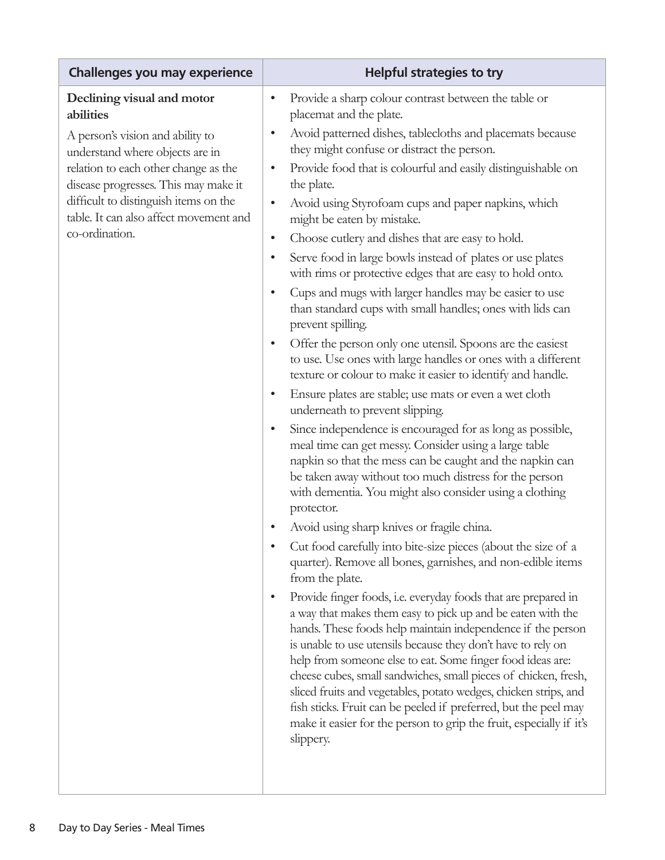| <b>Helpful strategies to try</b>                                                                                                                                                                                                                                                                                                                                                                                                                                                                                                                                                                                                      |
|---------------------------------------------------------------------------------------------------------------------------------------------------------------------------------------------------------------------------------------------------------------------------------------------------------------------------------------------------------------------------------------------------------------------------------------------------------------------------------------------------------------------------------------------------------------------------------------------------------------------------------------|
| Provide a sharp colour contrast between the table or<br>$\bullet$<br>placemat and the plate.                                                                                                                                                                                                                                                                                                                                                                                                                                                                                                                                          |
| Avoid patterned dishes, tablecloths and placemats because<br>$\bullet$<br>they might confuse or distract the person.                                                                                                                                                                                                                                                                                                                                                                                                                                                                                                                  |
| Provide food that is colourful and easily distinguishable on<br>$\bullet$<br>the plate.                                                                                                                                                                                                                                                                                                                                                                                                                                                                                                                                               |
| Avoid using Styrofoam cups and paper napkins, which<br>$\bullet$<br>might be eaten by mistake.                                                                                                                                                                                                                                                                                                                                                                                                                                                                                                                                        |
| Choose cutlery and dishes that are easy to hold.<br>$\bullet$                                                                                                                                                                                                                                                                                                                                                                                                                                                                                                                                                                         |
| Serve food in large bowls instead of plates or use plates<br>$\bullet$<br>with rims or protective edges that are easy to hold onto.                                                                                                                                                                                                                                                                                                                                                                                                                                                                                                   |
| Cups and mugs with larger handles may be easier to use<br>$\bullet$<br>than standard cups with small handles; ones with lids can<br>prevent spilling.                                                                                                                                                                                                                                                                                                                                                                                                                                                                                 |
| Offer the person only one utensil. Spoons are the easiest<br>$\bullet$<br>to use. Use ones with large handles or ones with a different<br>texture or colour to make it easier to identify and handle.                                                                                                                                                                                                                                                                                                                                                                                                                                 |
| Ensure plates are stable; use mats or even a wet cloth<br>$\bullet$<br>underneath to prevent slipping.                                                                                                                                                                                                                                                                                                                                                                                                                                                                                                                                |
| Since independence is encouraged for as long as possible,<br>$\bullet$<br>meal time can get messy. Consider using a large table<br>napkin so that the mess can be caught and the napkin can<br>be taken away without too much distress for the person<br>with dementia. You might also consider using a clothing<br>protector.                                                                                                                                                                                                                                                                                                        |
| Avoid using sharp knives or fragile china.<br>$\bullet$                                                                                                                                                                                                                                                                                                                                                                                                                                                                                                                                                                               |
| Cut food carefully into bite-size pieces (about the size of a<br>quarter). Remove all bones, garnishes, and non-edible items<br>from the plate.                                                                                                                                                                                                                                                                                                                                                                                                                                                                                       |
| Provide finger foods, i.e. everyday foods that are prepared in<br>$\bullet$<br>a way that makes them easy to pick up and be eaten with the<br>hands. These foods help maintain independence if the person<br>is unable to use utensils because they don't have to rely on<br>help from someone else to eat. Some finger food ideas are:<br>cheese cubes, small sandwiches, small pieces of chicken, fresh,<br>sliced fruits and vegetables, potato wedges, chicken strips, and<br>fish sticks. Fruit can be peeled if preferred, but the peel may<br>make it easier for the person to grip the fruit, especially if it's<br>slippery. |
|                                                                                                                                                                                                                                                                                                                                                                                                                                                                                                                                                                                                                                       |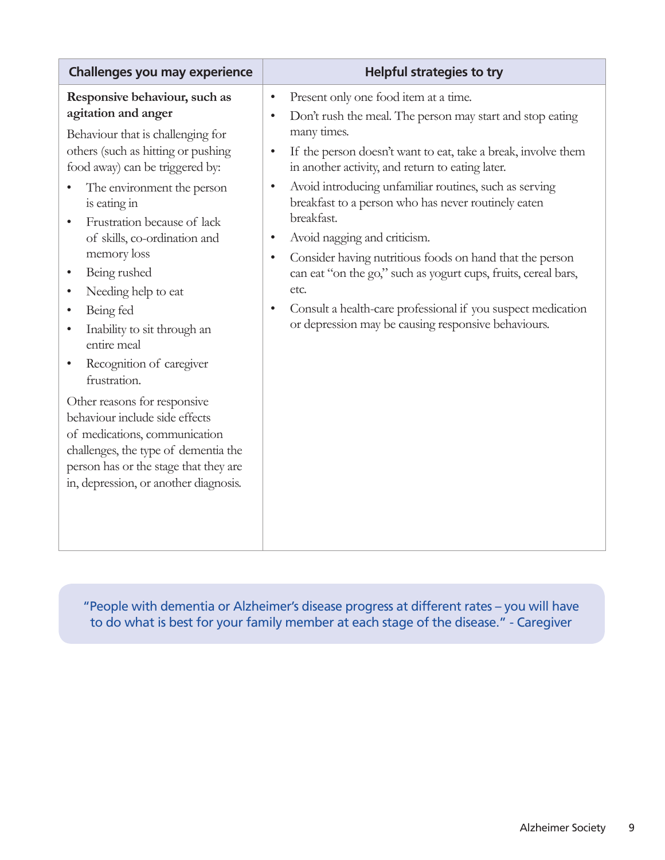| Challenges you may experience                                                                                                                                                                                                                                                                                                                                                                                                                                                                                                                                                                                                                                                                                                                           | <b>Helpful strategies to try</b>                                                                                                                                                                                                                                                                                                                                                                                                                                                                                                                                                                                                                                   |
|---------------------------------------------------------------------------------------------------------------------------------------------------------------------------------------------------------------------------------------------------------------------------------------------------------------------------------------------------------------------------------------------------------------------------------------------------------------------------------------------------------------------------------------------------------------------------------------------------------------------------------------------------------------------------------------------------------------------------------------------------------|--------------------------------------------------------------------------------------------------------------------------------------------------------------------------------------------------------------------------------------------------------------------------------------------------------------------------------------------------------------------------------------------------------------------------------------------------------------------------------------------------------------------------------------------------------------------------------------------------------------------------------------------------------------------|
| Responsive behaviour, such as<br>$\bullet$<br>agitation and anger<br>$\bullet$<br>Behaviour that is challenging for<br>others (such as hitting or pushing<br>food away) can be triggered by:<br>The environment the person<br>$\bullet$<br>is eating in<br>Frustration because of lack<br>of skills, co-ordination and<br>$\bullet$<br>memory loss<br>$\bullet$<br>Being rushed<br>Needing help to eat<br>Being fed<br>$\bullet$<br>Inability to sit through an<br>entire meal<br>Recognition of caregiver<br>frustration.<br>Other reasons for responsive<br>behaviour include side effects<br>of medications, communication<br>challenges, the type of dementia the<br>person has or the stage that they are<br>in, depression, or another diagnosis. | Present only one food item at a time.<br>Don't rush the meal. The person may start and stop eating<br>many times.<br>If the person doesn't want to eat, take a break, involve them<br>in another activity, and return to eating later.<br>Avoid introducing unfamiliar routines, such as serving<br>breakfast to a person who has never routinely eaten<br>breakfast.<br>Avoid nagging and criticism.<br>Consider having nutritious foods on hand that the person<br>can eat "on the go," such as yogurt cups, fruits, cereal bars,<br>etc.<br>Consult a health-care professional if you suspect medication<br>or depression may be causing responsive behaviours. |

"People with dementia or Alzheimer's disease progress at different rates – you will have to do what is best for your family member at each stage of the disease." - Caregiver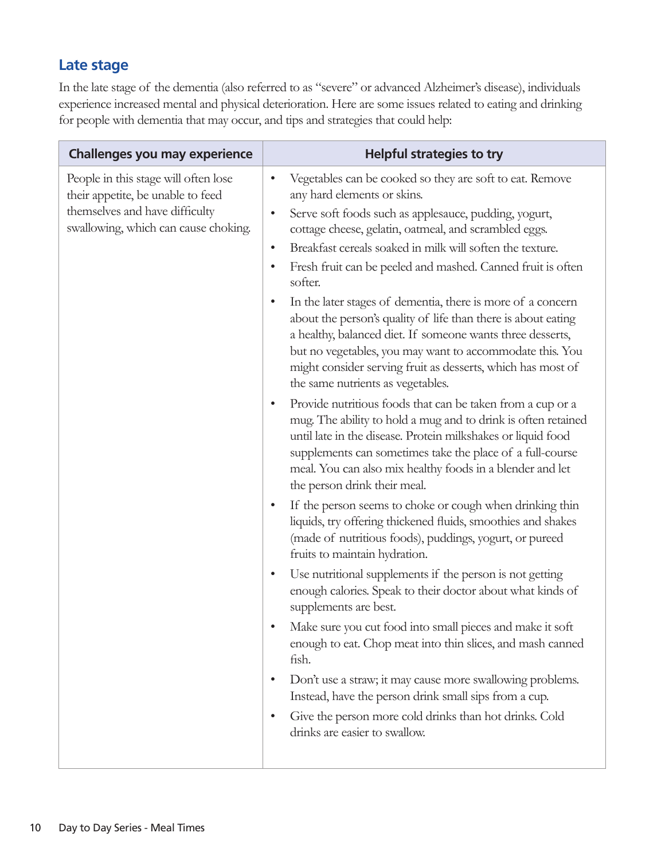### **Late stage**

In the late stage of the dementia (also referred to as "severe" or advanced Alzheimer's disease), individuals experience increased mental and physical deterioration. Here are some issues related to eating and drinking for people with dementia that may occur, and tips and strategies that could help:

| People in this stage will often lose<br>Vegetables can be cooked so they are soft to eat. Remove<br>$\bullet$<br>their appetite, be unable to feed<br>any hard elements or skins.<br>themselves and have difficulty<br>Serve soft foods such as applesauce, pudding, yogurt,<br>$\bullet$<br>swallowing, which can cause choking.<br>cottage cheese, gelatin, oatmeal, and scrambled eggs.<br>Breakfast cereals soaked in milk will soften the texture.<br>$\bullet$<br>Fresh fruit can be peeled and mashed. Canned fruit is often<br>٠<br>softer.<br>In the later stages of dementia, there is more of a concern<br>$\bullet$<br>about the person's quality of life than there is about eating<br>a healthy, balanced diet. If someone wants three desserts,<br>but no vegetables, you may want to accommodate this. You<br>might consider serving fruit as desserts, which has most of<br>the same nutrients as vegetables.<br>Provide nutritious foods that can be taken from a cup or a<br>$\bullet$<br>mug. The ability to hold a mug and to drink is often retained<br>until late in the disease. Protein milkshakes or liquid food<br>supplements can sometimes take the place of a full-course<br>meal. You can also mix healthy foods in a blender and let<br>the person drink their meal.<br>If the person seems to choke or cough when drinking thin<br>$\bullet$<br>liquids, try offering thickened fluids, smoothies and shakes<br>(made of nutritious foods), puddings, yogurt, or pureed<br>fruits to maintain hydration.<br>Use nutritional supplements if the person is not getting<br>$\bullet$<br>enough calories. Speak to their doctor about what kinds of<br>supplements are best.<br>Make sure you cut food into small pieces and make it soft<br>enough to eat. Chop meat into thin slices, and mash canned<br>fish.<br>Don't use a straw; it may cause more swallowing problems.<br>$\bullet$<br>Instead, have the person drink small sips from a cup.<br>Give the person more cold drinks than hot drinks. Cold<br>٠<br>drinks are easier to swallow. | Challenges you may experience | <b>Helpful strategies to try</b> |
|----------------------------------------------------------------------------------------------------------------------------------------------------------------------------------------------------------------------------------------------------------------------------------------------------------------------------------------------------------------------------------------------------------------------------------------------------------------------------------------------------------------------------------------------------------------------------------------------------------------------------------------------------------------------------------------------------------------------------------------------------------------------------------------------------------------------------------------------------------------------------------------------------------------------------------------------------------------------------------------------------------------------------------------------------------------------------------------------------------------------------------------------------------------------------------------------------------------------------------------------------------------------------------------------------------------------------------------------------------------------------------------------------------------------------------------------------------------------------------------------------------------------------------------------------------------------------------------------------------------------------------------------------------------------------------------------------------------------------------------------------------------------------------------------------------------------------------------------------------------------------------------------------------------------------------------------------------------------------------------------------------------------------------------------------------------------------------|-------------------------------|----------------------------------|
|                                                                                                                                                                                                                                                                                                                                                                                                                                                                                                                                                                                                                                                                                                                                                                                                                                                                                                                                                                                                                                                                                                                                                                                                                                                                                                                                                                                                                                                                                                                                                                                                                                                                                                                                                                                                                                                                                                                                                                                                                                                                                  |                               |                                  |
|                                                                                                                                                                                                                                                                                                                                                                                                                                                                                                                                                                                                                                                                                                                                                                                                                                                                                                                                                                                                                                                                                                                                                                                                                                                                                                                                                                                                                                                                                                                                                                                                                                                                                                                                                                                                                                                                                                                                                                                                                                                                                  |                               |                                  |
|                                                                                                                                                                                                                                                                                                                                                                                                                                                                                                                                                                                                                                                                                                                                                                                                                                                                                                                                                                                                                                                                                                                                                                                                                                                                                                                                                                                                                                                                                                                                                                                                                                                                                                                                                                                                                                                                                                                                                                                                                                                                                  |                               |                                  |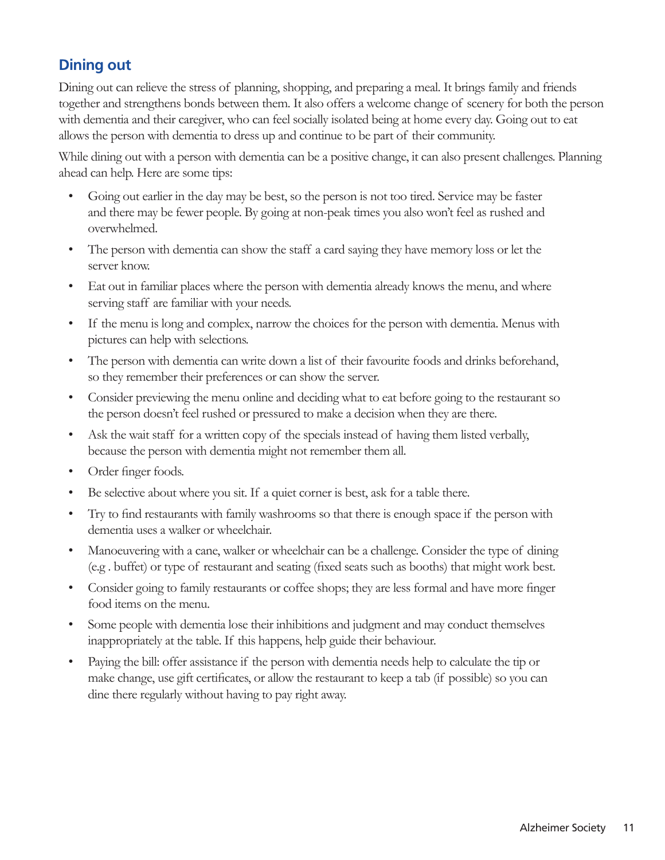### **Dining out**

Dining out can relieve the stress of planning, shopping, and preparing a meal. It brings family and friends together and strengthens bonds between them. It also offers a welcome change of scenery for both the person with dementia and their caregiver, who can feel socially isolated being at home every day. Going out to eat allows the person with dementia to dress up and continue to be part of their community.

While dining out with a person with dementia can be a positive change, it can also present challenges. Planning ahead can help. Here are some tips:

- Going out earlier in the day may be best, so the person is not too tired. Service may be faster and there may be fewer people. By going at non-peak times you also won't feel as rushed and overwhelmed.
- The person with dementia can show the staff a card saying they have memory loss or let the server know.
- Eat out in familiar places where the person with dementia already knows the menu, and where serving staff are familiar with your needs.
- If the menu is long and complex, narrow the choices for the person with dementia. Menus with pictures can help with selections.
- The person with dementia can write down a list of their favourite foods and drinks beforehand, so they remember their preferences or can show the server.
- Consider previewing the menu online and deciding what to eat before going to the restaurant so the person doesn't feel rushed or pressured to make a decision when they are there.
- Ask the wait staff for a written copy of the specials instead of having them listed verbally, because the person with dementia might not remember them all.
- Order finger foods.
- Be selective about where you sit. If a quiet corner is best, ask for a table there.
- Try to find restaurants with family washrooms so that there is enough space if the person with dementia uses a walker or wheelchair.
- Manoeuvering with a cane, walker or wheelchair can be a challenge. Consider the type of dining (e.g . buffet) or type of restaurant and seating (fixed seats such as booths) that might work best.
- Consider going to family restaurants or coffee shops; they are less formal and have more finger food items on the menu.
- Some people with dementia lose their inhibitions and judgment and may conduct themselves inappropriately at the table. If this happens, help guide their behaviour.
- Paying the bill: offer assistance if the person with dementia needs help to calculate the tip or make change, use gift certificates, or allow the restaurant to keep a tab (if possible) so you can dine there regularly without having to pay right away.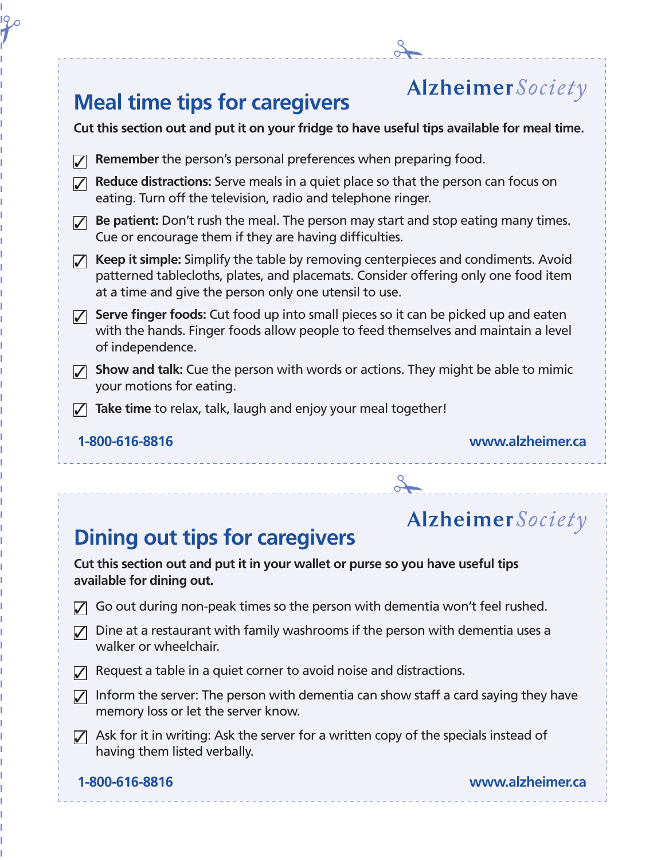### 2 **Alzheimer** Society **Meal time tips for caregivers Cut this section out and put it on your fridge to have useful tips available for meal time. 7** Remember the person's personal preferences when preparing food. **7 Reduce distractions:** Serve meals in a quiet place so that the person can focus on eating. Turn off the television, radio and telephone ringer. **3** Be patient: Don't rush the meal. The person may start and stop eating many times. Cue or encourage them if they are having difficulties. **7 Keep it simple:** Simplify the table by removing centerpieces and condiments. Avoid patterned tablecloths, plates, and placemats. Consider offering only one food item at a time and give the person only one utensil to use. **7** Serve finger foods: Cut food up into small pieces so it can be picked up and eaten with the hands. Finger foods allow people to feed themselves and maintain a level of independence. **5 Show and talk:** Cue the person with words or actions. They might be able to mimic your motions for eating. **7** Take time to relax, talk, laugh and enjoy your meal together!  **1-800-616-8816 www.alzheimer.ca** 2

### **Dining out tips for caregivers**

### **Alzheimer** Society

**Cut this section out and put it in your wallet or purse so you have useful tips available for dining out.**

- $\sqrt{3}$  Go out during non-peak times so the person with dementia won't feel rushed.
- $\sqrt{ }$  Dine at a restaurant with family washrooms if the person with dementia uses a walker or wheelchair.
- $\triangledown$  Request a table in a quiet corner to avoid noise and distractions.
- $\sqrt{ }$  Inform the server: The person with dementia can show staff a card saying they have memory loss or let the server know.
- $\sqrt{2}$  Ask for it in writing: Ask the server for a written copy of the specials instead of having them listed verbally.

 $\mathcal{H}^{\circ}$ 

 **1-800-616-8816 www.alzheimer.ca**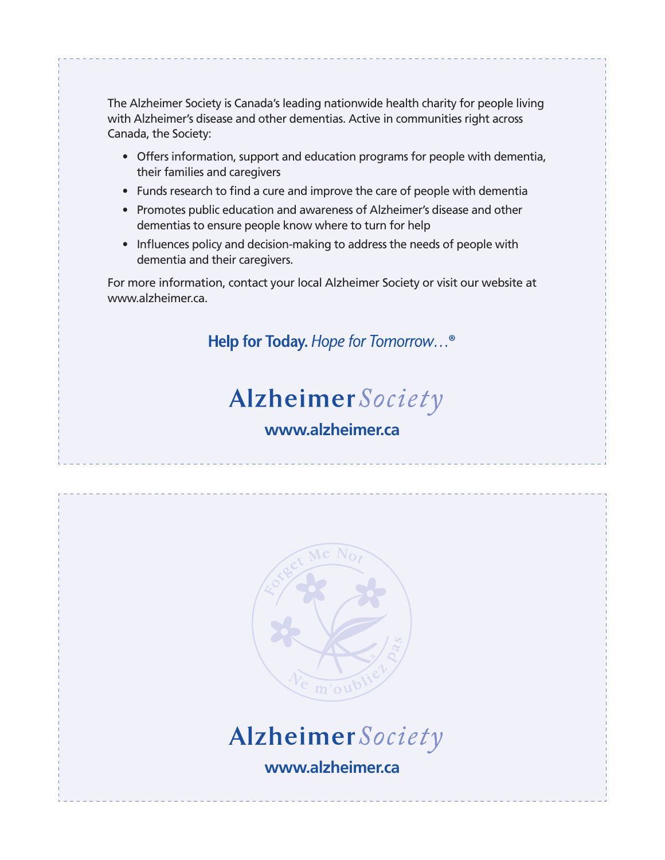The Alzheimer Society is Canada's leading nationwide health charity for people living with Alzheimer's disease and other dementias. Active in communities right across Canada, the Society:

- Offers information, support and education programs for people with dementia, their families and caregivers
- Funds research to find a cure and improve the care of people with dementia
- Promotes public education and awareness of Alzheimer's disease and other dementias to ensure people know where to turn for help
- Influences policy and decision-making to address the needs of people with dementia and their caregivers.

For more information, contact your local Alzheimer Society or visit our website at www.alzheimer.ca.

Help for Today. Hope for Tomorrow...®

### Alzheimer Society

### **www.alzheimer.ca**





**www.alzheimer.ca**